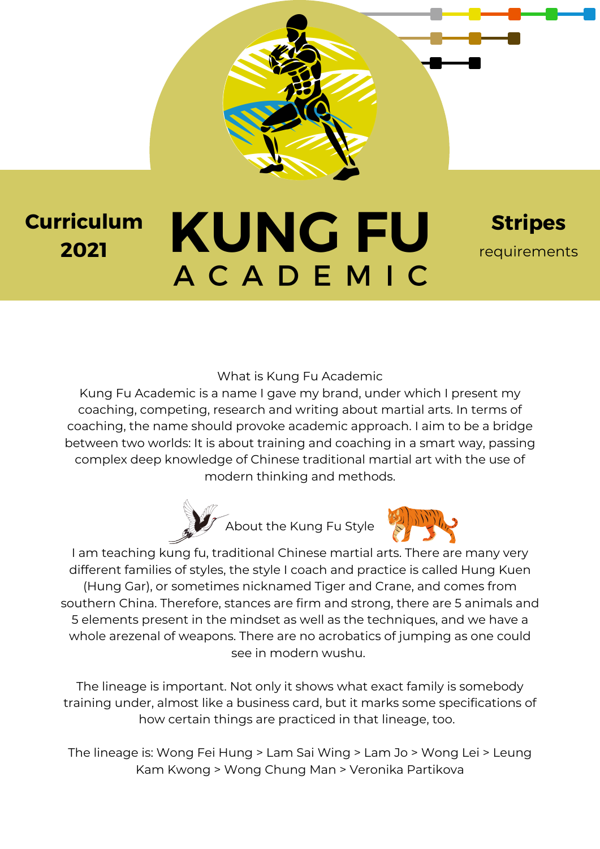

**Stripes** requirements

What is Kung Fu Academic

Kung Fu Academic is a name I gave my brand, under which I present my coaching, competing, research and writing about martial arts. In terms of coaching, the name should provoke academic approach. I aim to be a bridge between two worlds: It is about training and coaching in a smart way, passing complex deep knowledge of Chinese traditional martial art with the use of modern thinking and methods.





I am teaching kung fu, traditional Chinese martial arts. There are many very different families of styles, the style I coach and practice is called Hung Kuen (Hung Gar), or sometimes nicknamed Tiger and Crane, and comes from southern China. Therefore, stances are firm and strong, there are 5 animals and 5 elements present in the mindset as well as the techniques, and we have a whole arezenal of weapons. There are no acrobatics of jumping as one could see in modern wushu.

The lineage is important. Not only it shows what exact family is somebody training under, almost like a business card, but it marks some specifications of how certain things are practiced in that lineage, too.

The lineage is: Wong Fei Hung > Lam Sai Wing > Lam Jo > Wong Lei > Leung Kam Kwong > Wong Chung Man > Veronika Partikova